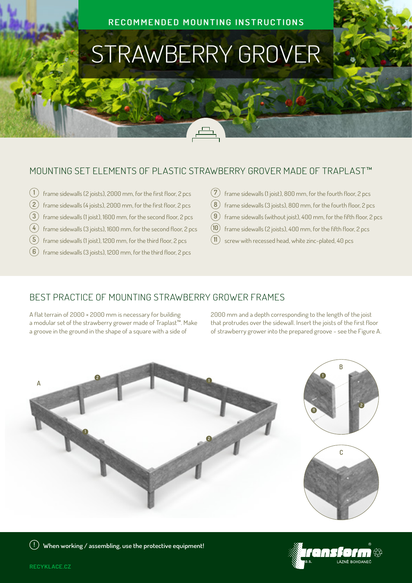#### **RECOMMENDED MOUNTING INSTRUCTIONS**

# STRAWBERRY GROVER

### MOUNTING SET ELEMENTS OF PLASTIC STRAWBERRY GROVER MADE OF TRAPLAST™

- $\left(1\right)$  frame sidewalls (2 joists), 2000 mm, for the first floor, 2 pcs
- $\mathbf{2} \times \mathbf{2}$  frame sidewalls (4 joists), 2000 mm, for the first floor, 2 pcs
- **3** frame sidewalls (1 joist), 1600 mm, for the second floor, 2 pcs
- **4** frame sidewalls (3 joists), 1600 mm, for the second floor, 2 pcs
- $(5)$  frame sidewalls (1 joist), 1200 mm, for the third floor, 2 pcs
- $\left(\mathbf{6}\right)$  frame sidewalls (3 joists), 1200 mm, for the third floor, 2 pcs
- $\mathcal{F}(\mathbf{7})$  frame sidewalls (1 joist), 800 mm, for the fourth floor, 2 pcs
- $\mathbf{8}$  frame sidewalls (3 joists), 800 mm, for the fourth floor, 2 pcs
- **9** frame sidewalls (without joist), 400 mm, for the fifth floor, 2 pcs
- **10** frame sidewalls (2 joists), 400 mm, for the fifth floor, 2 pcs
- $11$  screw with recessed head, white zinc-plated, 40 pcs

## BEST PRACTICE OF MOUNTING STRAWBERRY GROWER FRAMES

A flat terrain of 2000 × 2000 mm is necessary for building a modular set of the strawberry grower made of Traplast™. Make a groove in the ground in the shape of a square with a side of

2000 mm and a depth corresponding to the length of the joist that protrudes over the sidewall. Insert the joists of the first floor of strawberry grower into the prepared groove - see the Figure A.



**! When working / assembling, use the protective equipment!** 



**RECYKLACE.CZ**